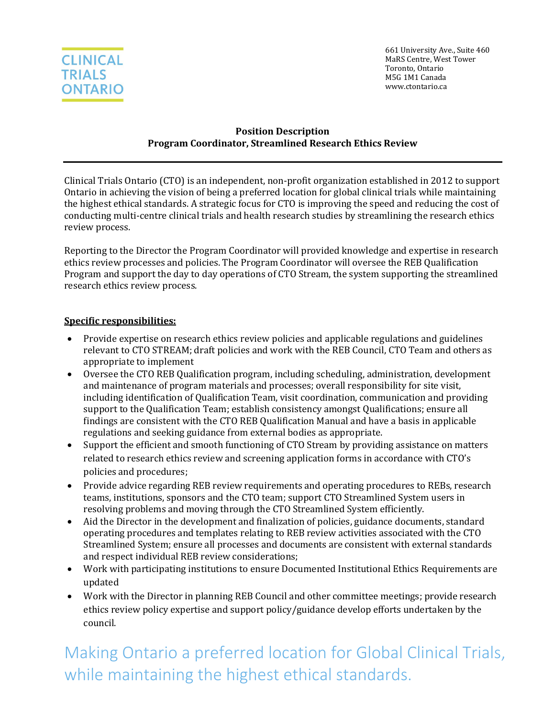

661 University Ave., Suite 460 MaRS Centre, West Tower Toronto, Ontario M5G 1M1 Canada www.ctontario.ca

#### **Position Description Program Coordinator, Streamlined Research Ethics Review**

Clinical Trials Ontario (CTO) is an independent, non-profit organization established in 2012 to support Ontario in achieving the vision of being a preferred location for global clinical trials while maintaining the highest ethical standards. A strategic focus for CTO is improving the speed and reducing the cost of conducting multi-centre clinical trials and health research studies by streamlining the research ethics review process.

Reporting to the Director the Program Coordinator will provided knowledge and expertise in research ethics review processes and policies. The Program Coordinator will oversee the REB Qualification Program and support the day to day operations of CTO Stream, the system supporting the streamlined research ethics review process.

#### **Specific responsibilities:**

- Provide expertise on research ethics review policies and applicable regulations and guidelines relevant to CTO STREAM; draft policies and work with the REB Council, CTO Team and others as appropriate to implement
- Oversee the CTO REB Qualification program, including scheduling, administration, development and maintenance of program materials and processes; overall responsibility for site visit, including identification of Qualification Team, visit coordination, communication and providing support to the Qualification Team; establish consistency amongst Qualifications; ensure all findings are consistent with the CTO REB Qualification Manual and have a basis in applicable regulations and seeking guidance from external bodies as appropriate.
- Support the efficient and smooth functioning of CTO Stream by providing assistance on matters related to research ethics review and screening application forms in accordance with CTO's policies and procedures;
- Provide advice regarding REB review requirements and operating procedures to REBs, research teams, institutions, sponsors and the CTO team; support CTO Streamlined System users in resolving problems and moving through the CTO Streamlined System efficiently.
- Aid the Director in the development and finalization of policies, guidance documents, standard operating procedures and templates relating to REB review activities associated with the CTO Streamlined System; ensure all processes and documents are consistent with external standards and respect individual REB review considerations;
- Work with participating institutions to ensure Documented Institutional Ethics Requirements are updated
- Work with the Director in planning REB Council and other committee meetings; provide research ethics review policy expertise and support policy/guidance develop efforts undertaken by the council.

Making Ontario a preferred location for Global Clinical Trials, while maintaining the highest ethical standards.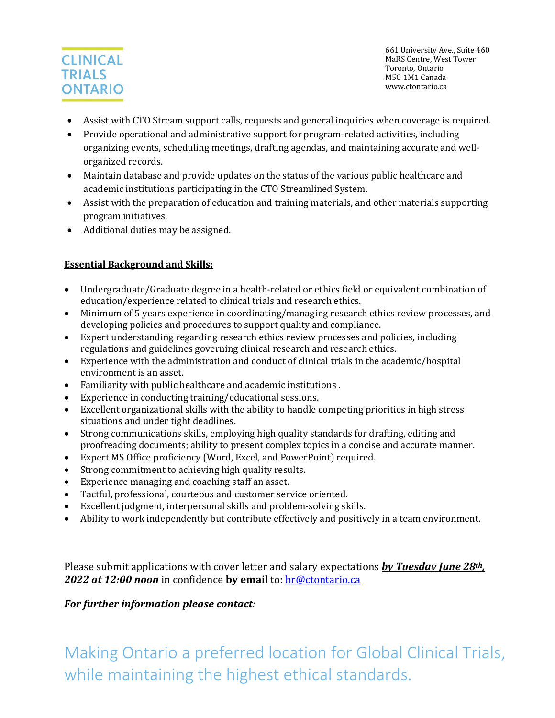# **CLINICAL TRIALS ONTARIO**

661 University Ave., Suite 460 MaRS Centre, West Tower Toronto, Ontario M5G 1M1 Canada www.ctontario.ca

- Assist with CTO Stream support calls, requests and general inquiries when coverage is required.
- Provide operational and administrative support for program-related activities, including organizing events, scheduling meetings, drafting agendas, and maintaining accurate and wellorganized records.
- Maintain database and provide updates on the status of the various public healthcare and academic institutions participating in the CTO Streamlined System.
- Assist with the preparation of education and training materials, and other materials supporting program initiatives.
- Additional duties may be assigned.

### **Essential Background and Skills:**

- Undergraduate/Graduate degree in a health-related or ethics field or equivalent combination of education/experience related to clinical trials and research ethics.
- Minimum of 5 years experience in coordinating/managing research ethics review processes, and developing policies and procedures to support quality and compliance.
- Expert understanding regarding research ethics review processes and policies, including regulations and guidelines governing clinical research and research ethics.
- Experience with the administration and conduct of clinical trials in the academic/hospital environment is an asset.
- Familiarity with public healthcare and academic institutions .
- Experience in conducting training/educational sessions.
- Excellent organizational skills with the ability to handle competing priorities in high stress situations and under tight deadlines.
- Strong communications skills, employing high quality standards for drafting, editing and proofreading documents; ability to present complex topics in a concise and accurate manner.
- Expert MS Office proficiency (Word, Excel, and PowerPoint) required.
- Strong commitment to achieving high quality results.
- Experience managing and coaching staff an asset.
- Tactful, professional, courteous and customer service oriented.
- Excellent judgment, interpersonal skills and problem-solving skills.<br>• Ability to work independently but contribute effectively and positive
- Ability to work independently but contribute effectively and positively in a team environment.

Please submit applications with cover letter and salary expectations *by Tuesday June 28th, 2022 at 12:00 noon* in confidence **by email** to: [hr@ctontario.ca](mailto:hr@ctontario.ca)

### *For further information please contact:*

Making Ontario a preferred location for Global Clinical Trials, while maintaining the highest ethical standards.